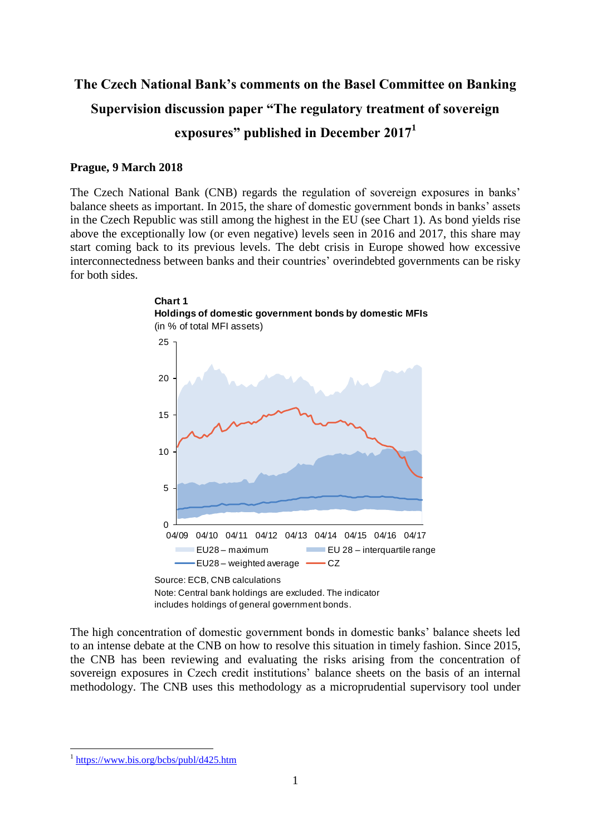# **The Czech National Bank's comments on the Basel Committee on Banking Supervision discussion paper "The regulatory treatment of sovereign exposures" published in December 2017<sup>1</sup>**

#### **Prague, 9 March 2018**

**Chart 1**

The Czech National Bank (CNB) regards the regulation of sovereign exposures in banks' balance sheets as important. In 2015, the share of domestic government bonds in banks' assets in the Czech Republic was still among the highest in the EU (see Chart 1). As bond yields rise above the exceptionally low (or even negative) levels seen in 2016 and 2017, this share may start coming back to its previous levels. The debt crisis in Europe showed how excessive interconnectedness between banks and their countries' overindebted governments can be risky for both sides.



includes holdings of general government bonds.

The high concentration of domestic government bonds in domestic banks' balance sheets led to an intense debate at the CNB on how to resolve this situation in timely fashion. Since 2015, the CNB has been reviewing and evaluating the risks arising from the concentration of sovereign exposures in Czech credit institutions' balance sheets on the basis of an internal methodology. The CNB uses this methodology as a microprudential supervisory tool under

1

<sup>&</sup>lt;sup>1</sup> <https://www.bis.org/bcbs/publ/d425.htm>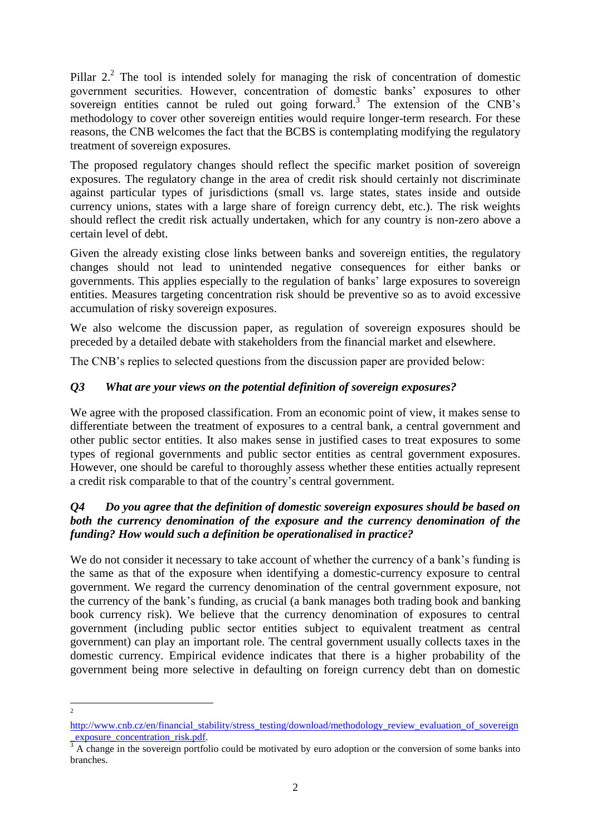Pillar  $2<sup>2</sup>$ . The tool is intended solely for managing the risk of concentration of domestic government securities. However, concentration of domestic banks' exposures to other sovereign entities cannot be ruled out going forward.<sup>3</sup> The extension of the CNB's methodology to cover other sovereign entities would require longer-term research. For these reasons, the CNB welcomes the fact that the BCBS is contemplating modifying the regulatory treatment of sovereign exposures.

The proposed regulatory changes should reflect the specific market position of sovereign exposures. The regulatory change in the area of credit risk should certainly not discriminate against particular types of jurisdictions (small vs. large states, states inside and outside currency unions, states with a large share of foreign currency debt, etc.). The risk weights should reflect the credit risk actually undertaken, which for any country is non-zero above a certain level of debt.

Given the already existing close links between banks and sovereign entities, the regulatory changes should not lead to unintended negative consequences for either banks or governments. This applies especially to the regulation of banks' large exposures to sovereign entities. Measures targeting concentration risk should be preventive so as to avoid excessive accumulation of risky sovereign exposures.

We also welcome the discussion paper, as regulation of sovereign exposures should be preceded by a detailed debate with stakeholders from the financial market and elsewhere.

The CNB's replies to selected questions from the discussion paper are provided below:

## *Q3 What are your views on the potential definition of sovereign exposures?*

We agree with the proposed classification. From an economic point of view, it makes sense to differentiate between the treatment of exposures to a central bank, a central government and other public sector entities. It also makes sense in justified cases to treat exposures to some types of regional governments and public sector entities as central government exposures. However, one should be careful to thoroughly assess whether these entities actually represent a credit risk comparable to that of the country's central government.

## *Q4 Do you agree that the definition of domestic sovereign exposures should be based on both the currency denomination of the exposure and the currency denomination of the funding? How would such a definition be operationalised in practice?*

We do not consider it necessary to take account of whether the currency of a bank's funding is the same as that of the exposure when identifying a domestic-currency exposure to central government. We regard the currency denomination of the central government exposure, not the currency of the bank's funding, as crucial (a bank manages both trading book and banking book currency risk). We believe that the currency denomination of exposures to central government (including public sector entities subject to equivalent treatment as central government) can play an important role. The central government usually collects taxes in the domestic currency. Empirical evidence indicates that there is a higher probability of the government being more selective in defaulting on foreign currency debt than on domestic

 $\frac{1}{2}$ 

[http://www.cnb.cz/en/financial\\_stability/stress\\_testing/download/methodology\\_review\\_evaluation\\_of\\_sovereign](http://www.cnb.cz/en/financial_stability/stress_testing/download/methodology_review_evaluation_of_sovereign_exposure_concentration_risk.pdf) exposure concentration risk.pdf.

<sup>&</sup>lt;sup>3</sup> A change in the sovereign portfolio could be motivated by euro adoption or the conversion of some banks into branches.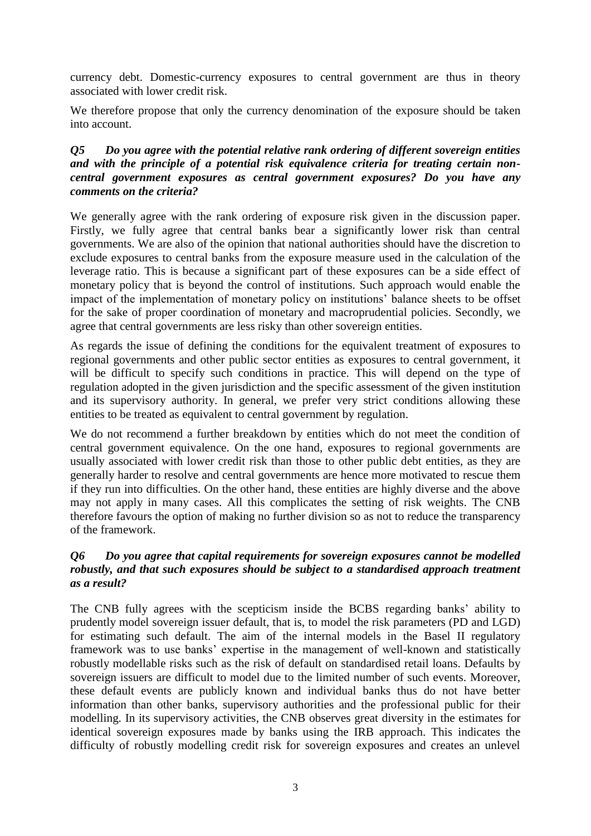currency debt. Domestic-currency exposures to central government are thus in theory associated with lower credit risk.

We therefore propose that only the currency denomination of the exposure should be taken into account.

#### *Q5 Do you agree with the potential relative rank ordering of different sovereign entities and with the principle of a potential risk equivalence criteria for treating certain noncentral government exposures as central government exposures? Do you have any comments on the criteria?*

We generally agree with the rank ordering of exposure risk given in the discussion paper. Firstly, we fully agree that central banks bear a significantly lower risk than central governments. We are also of the opinion that national authorities should have the discretion to exclude exposures to central banks from the exposure measure used in the calculation of the leverage ratio. This is because a significant part of these exposures can be a side effect of monetary policy that is beyond the control of institutions. Such approach would enable the impact of the implementation of monetary policy on institutions' balance sheets to be offset for the sake of proper coordination of monetary and macroprudential policies. Secondly, we agree that central governments are less risky than other sovereign entities.

As regards the issue of defining the conditions for the equivalent treatment of exposures to regional governments and other public sector entities as exposures to central government, it will be difficult to specify such conditions in practice. This will depend on the type of regulation adopted in the given jurisdiction and the specific assessment of the given institution and its supervisory authority. In general, we prefer very strict conditions allowing these entities to be treated as equivalent to central government by regulation.

We do not recommend a further breakdown by entities which do not meet the condition of central government equivalence. On the one hand, exposures to regional governments are usually associated with lower credit risk than those to other public debt entities, as they are generally harder to resolve and central governments are hence more motivated to rescue them if they run into difficulties. On the other hand, these entities are highly diverse and the above may not apply in many cases. All this complicates the setting of risk weights. The CNB therefore favours the option of making no further division so as not to reduce the transparency of the framework.

#### *Q6 Do you agree that capital requirements for sovereign exposures cannot be modelled robustly, and that such exposures should be subject to a standardised approach treatment as a result?*

The CNB fully agrees with the scepticism inside the BCBS regarding banks' ability to prudently model sovereign issuer default, that is, to model the risk parameters (PD and LGD) for estimating such default. The aim of the internal models in the Basel II regulatory framework was to use banks' expertise in the management of well-known and statistically robustly modellable risks such as the risk of default on standardised retail loans. Defaults by sovereign issuers are difficult to model due to the limited number of such events. Moreover, these default events are publicly known and individual banks thus do not have better information than other banks, supervisory authorities and the professional public for their modelling. In its supervisory activities, the CNB observes great diversity in the estimates for identical sovereign exposures made by banks using the IRB approach. This indicates the difficulty of robustly modelling credit risk for sovereign exposures and creates an unlevel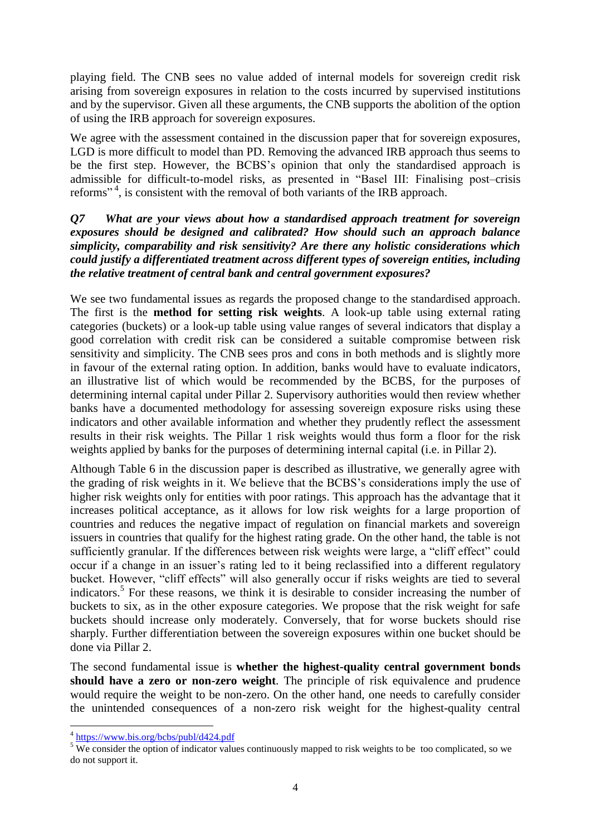playing field. The CNB sees no value added of internal models for sovereign credit risk arising from sovereign exposures in relation to the costs incurred by supervised institutions and by the supervisor. Given all these arguments, the CNB supports the abolition of the option of using the IRB approach for sovereign exposures.

We agree with the assessment contained in the discussion paper that for sovereign exposures, LGD is more difficult to model than PD. Removing the advanced IRB approach thus seems to be the first step. However, the BCBS's opinion that only the standardised approach is admissible for difficult-to-model risks, as presented in "Basel III: Finalising post–crisis reforms"<sup>4</sup>, is consistent with the removal of both variants of the IRB approach.

#### *Q7 What are your views about how a standardised approach treatment for sovereign exposures should be designed and calibrated? How should such an approach balance simplicity, comparability and risk sensitivity? Are there any holistic considerations which could justify a differentiated treatment across different types of sovereign entities, including the relative treatment of central bank and central government exposures?*

We see two fundamental issues as regards the proposed change to the standardised approach. The first is the **method for setting risk weights**. A look-up table using external rating categories (buckets) or a look-up table using value ranges of several indicators that display a good correlation with credit risk can be considered a suitable compromise between risk sensitivity and simplicity. The CNB sees pros and cons in both methods and is slightly more in favour of the external rating option. In addition, banks would have to evaluate indicators, an illustrative list of which would be recommended by the BCBS, for the purposes of determining internal capital under Pillar 2. Supervisory authorities would then review whether banks have a documented methodology for assessing sovereign exposure risks using these indicators and other available information and whether they prudently reflect the assessment results in their risk weights. The Pillar 1 risk weights would thus form a floor for the risk weights applied by banks for the purposes of determining internal capital (i.e. in Pillar 2).

Although Table 6 in the discussion paper is described as illustrative, we generally agree with the grading of risk weights in it. We believe that the BCBS's considerations imply the use of higher risk weights only for entities with poor ratings. This approach has the advantage that it increases political acceptance, as it allows for low risk weights for a large proportion of countries and reduces the negative impact of regulation on financial markets and sovereign issuers in countries that qualify for the highest rating grade. On the other hand, the table is not sufficiently granular. If the differences between risk weights were large, a "cliff effect" could occur if a change in an issuer's rating led to it being reclassified into a different regulatory bucket. However, "cliff effects" will also generally occur if risks weights are tied to several indicators.<sup>5</sup> For these reasons, we think it is desirable to consider increasing the number of buckets to six, as in the other exposure categories. We propose that the risk weight for safe buckets should increase only moderately. Conversely, that for worse buckets should rise sharply. Further differentiation between the sovereign exposures within one bucket should be done via Pillar 2.

The second fundamental issue is **whether the highest-quality central government bonds should have a zero or non-zero weight**. The principle of risk equivalence and prudence would require the weight to be non-zero. On the other hand, one needs to carefully consider the unintended consequences of a non-zero risk weight for the highest-quality central

 4 <https://www.bis.org/bcbs/publ/d424.pdf>

<sup>&</sup>lt;sup>5</sup> We consider the option of indicator values continuously mapped to risk weights to be too complicated, so we do not support it.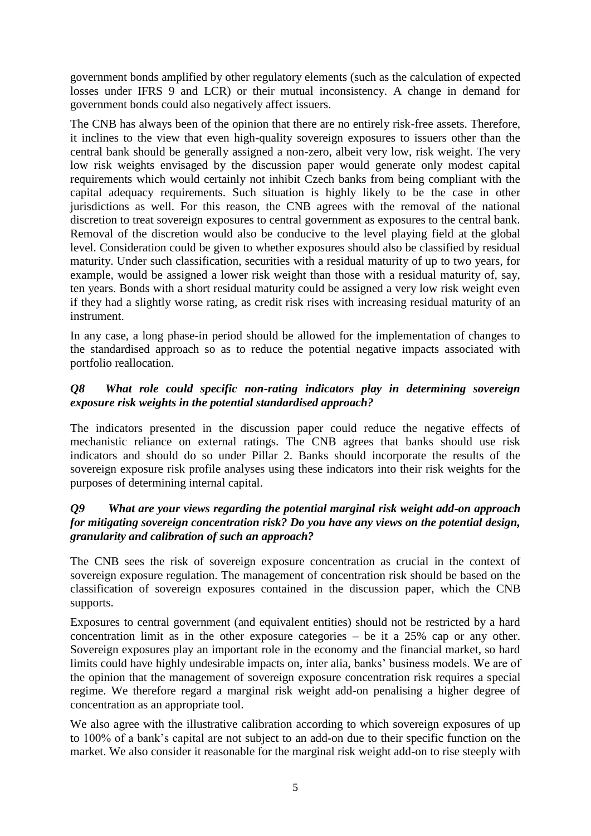government bonds amplified by other regulatory elements (such as the calculation of expected losses under IFRS 9 and LCR) or their mutual inconsistency. A change in demand for government bonds could also negatively affect issuers.

The CNB has always been of the opinion that there are no entirely risk-free assets. Therefore, it inclines to the view that even high-quality sovereign exposures to issuers other than the central bank should be generally assigned a non-zero, albeit very low, risk weight. The very low risk weights envisaged by the discussion paper would generate only modest capital requirements which would certainly not inhibit Czech banks from being compliant with the capital adequacy requirements. Such situation is highly likely to be the case in other jurisdictions as well. For this reason, the CNB agrees with the removal of the national discretion to treat sovereign exposures to central government as exposures to the central bank. Removal of the discretion would also be conducive to the level playing field at the global level. Consideration could be given to whether exposures should also be classified by residual maturity. Under such classification, securities with a residual maturity of up to two years, for example, would be assigned a lower risk weight than those with a residual maturity of, say, ten years. Bonds with a short residual maturity could be assigned a very low risk weight even if they had a slightly worse rating, as credit risk rises with increasing residual maturity of an instrument.

In any case, a long phase-in period should be allowed for the implementation of changes to the standardised approach so as to reduce the potential negative impacts associated with portfolio reallocation.

## *Q8 What role could specific non-rating indicators play in determining sovereign exposure risk weights in the potential standardised approach?*

The indicators presented in the discussion paper could reduce the negative effects of mechanistic reliance on external ratings. The CNB agrees that banks should use risk indicators and should do so under Pillar 2. Banks should incorporate the results of the sovereign exposure risk profile analyses using these indicators into their risk weights for the purposes of determining internal capital.

## *Q9 What are your views regarding the potential marginal risk weight add-on approach for mitigating sovereign concentration risk? Do you have any views on the potential design, granularity and calibration of such an approach?*

The CNB sees the risk of sovereign exposure concentration as crucial in the context of sovereign exposure regulation. The management of concentration risk should be based on the classification of sovereign exposures contained in the discussion paper, which the CNB supports.

Exposures to central government (and equivalent entities) should not be restricted by a hard concentration limit as in the other exposure categories – be it a 25% cap or any other. Sovereign exposures play an important role in the economy and the financial market, so hard limits could have highly undesirable impacts on, inter alia, banks' business models. We are of the opinion that the management of sovereign exposure concentration risk requires a special regime. We therefore regard a marginal risk weight add-on penalising a higher degree of concentration as an appropriate tool.

We also agree with the illustrative calibration according to which sovereign exposures of up to 100% of a bank's capital are not subject to an add-on due to their specific function on the market. We also consider it reasonable for the marginal risk weight add-on to rise steeply with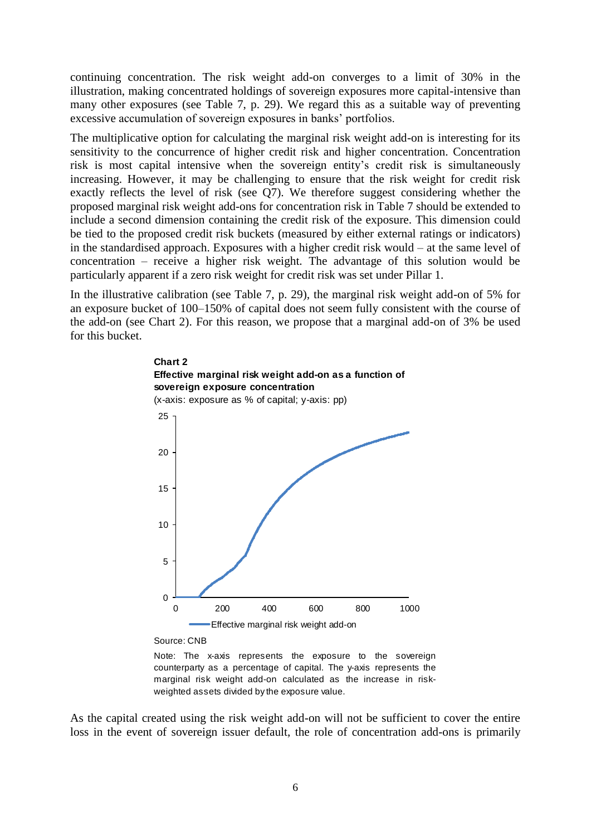continuing concentration. The risk weight add-on converges to a limit of 30% in the illustration, making concentrated holdings of sovereign exposures more capital-intensive than many other exposures (see Table 7, p. 29). We regard this as a suitable way of preventing excessive accumulation of sovereign exposures in banks' portfolios.

The multiplicative option for calculating the marginal risk weight add-on is interesting for its sensitivity to the concurrence of higher credit risk and higher concentration. Concentration risk is most capital intensive when the sovereign entity's credit risk is simultaneously increasing. However, it may be challenging to ensure that the risk weight for credit risk exactly reflects the level of risk (see Q7). We therefore suggest considering whether the proposed marginal risk weight add-ons for concentration risk in Table 7 should be extended to include a second dimension containing the credit risk of the exposure. This dimension could be tied to the proposed credit risk buckets (measured by either external ratings or indicators) in the standardised approach. Exposures with a higher credit risk would – at the same level of concentration – receive a higher risk weight. The advantage of this solution would be particularly apparent if a zero risk weight for credit risk was set under Pillar 1.

In the illustrative calibration (see Table 7, p. 29), the marginal risk weight add-on of 5% for an exposure bucket of 100–150% of capital does not seem fully consistent with the course of the add-on (see Chart 2). For this reason, we propose that a marginal add-on of 3% be used for this bucket.



Source: CNB

Note: The x-axis represents the exposure to the sovereign counterparty as a percentage of capital. The y-axis represents the marginal risk weight add-on calculated as the increase in riskweighted assets divided by the exposure value.

As the capital created using the risk weight add-on will not be sufficient to cover the entire loss in the event of sovereign issuer default, the role of concentration add-ons is primarily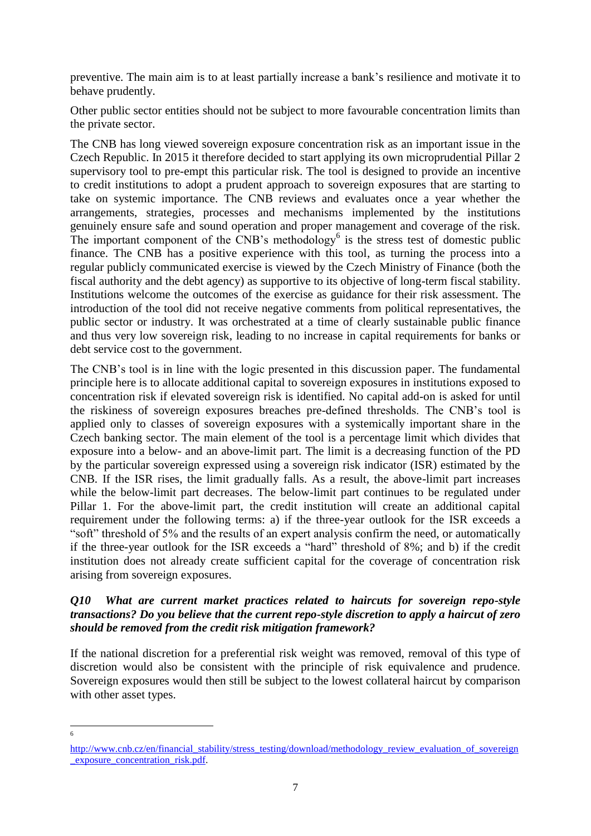preventive. The main aim is to at least partially increase a bank's resilience and motivate it to behave prudently.

Other public sector entities should not be subject to more favourable concentration limits than the private sector.

The CNB has long viewed sovereign exposure concentration risk as an important issue in the Czech Republic. In 2015 it therefore decided to start applying its own microprudential Pillar 2 supervisory tool to pre-empt this particular risk. The tool is designed to provide an incentive to credit institutions to adopt a prudent approach to sovereign exposures that are starting to take on systemic importance. The CNB reviews and evaluates once a year whether the arrangements, strategies, processes and mechanisms implemented by the institutions genuinely ensure safe and sound operation and proper management and coverage of the risk. The important component of the  $\overline{CNB}$ 's methodology<sup>6</sup> is the stress test of domestic public finance. The CNB has a positive experience with this tool, as turning the process into a regular publicly communicated exercise is viewed by the Czech Ministry of Finance (both the fiscal authority and the debt agency) as supportive to its objective of long-term fiscal stability. Institutions welcome the outcomes of the exercise as guidance for their risk assessment. The introduction of the tool did not receive negative comments from political representatives, the public sector or industry. It was orchestrated at a time of clearly sustainable public finance and thus very low sovereign risk, leading to no increase in capital requirements for banks or debt service cost to the government.

The CNB's tool is in line with the logic presented in this discussion paper. The fundamental principle here is to allocate additional capital to sovereign exposures in institutions exposed to concentration risk if elevated sovereign risk is identified. No capital add-on is asked for until the riskiness of sovereign exposures breaches pre-defined thresholds. The CNB's tool is applied only to classes of sovereign exposures with a systemically important share in the Czech banking sector. The main element of the tool is a percentage limit which divides that exposure into a below- and an above-limit part. The limit is a decreasing function of the PD by the particular sovereign expressed using a sovereign risk indicator (ISR) estimated by the CNB. If the ISR rises, the limit gradually falls. As a result, the above-limit part increases while the below-limit part decreases. The below-limit part continues to be regulated under Pillar 1. For the above-limit part, the credit institution will create an additional capital requirement under the following terms: a) if the three-year outlook for the ISR exceeds a "soft" threshold of 5% and the results of an expert analysis confirm the need, or automatically if the three-year outlook for the ISR exceeds a "hard" threshold of 8%; and b) if the credit institution does not already create sufficient capital for the coverage of concentration risk arising from sovereign exposures.

#### *Q10 What are current market practices related to haircuts for sovereign repo-style transactions? Do you believe that the current repo-style discretion to apply a haircut of zero should be removed from the credit risk mitigation framework?*

If the national discretion for a preferential risk weight was removed, removal of this type of discretion would also be consistent with the principle of risk equivalence and prudence. Sovereign exposures would then still be subject to the lowest collateral haircut by comparison with other asset types.

 $\frac{1}{6}$ 

[http://www.cnb.cz/en/financial\\_stability/stress\\_testing/download/methodology\\_review\\_evaluation\\_of\\_sovereign](http://www.cnb.cz/en/financial_stability/stress_testing/download/methodology_review_evaluation_of_sovereign_exposure_concentration_risk.pdf) exposure concentration risk.pdf.